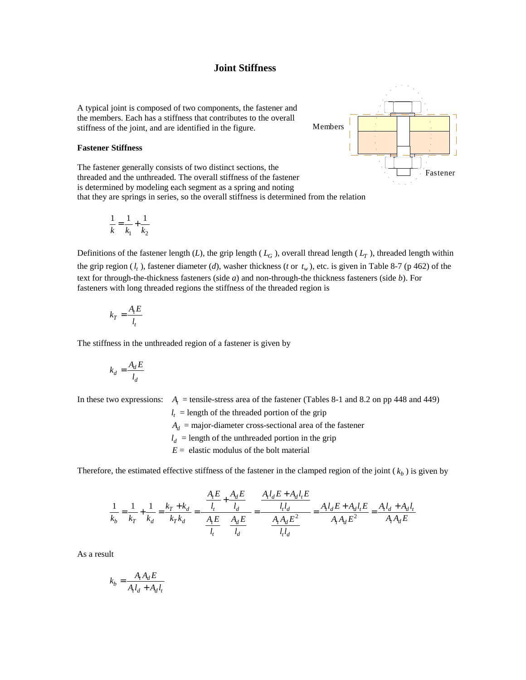## **Joint Stiffness**

A typical joint is composed of two components, the fastener and the members. Each has a stiffness that contributes to the overall stiffness of the joint, and are identified in the figure.

## **Fastener Stiffness**

The fastener generally consists of two distinct sections, the threaded and the unthreaded. The overall stiffness of the fastener is determined by modeling each segment as a spring and noting that they are springs in series, so the overall stiffness is determined from the relation

$$
\frac{1}{k} = \frac{1}{k_1} + \frac{1}{k_2}
$$

Members Fastener

Definitions of the fastener length  $(L)$ , the grip length  $(L_G)$ , overall thread length  $(L_T)$ , threaded length within the grip region  $(l_t)$ , fastener diameter  $(d)$ , washer thickness  $(t$  or  $t_w$ , etc. is given in Table 8-7 (p 462) of the text for through-the-thickness fasteners (side *a*) and non-through-the thickness fasteners (side *b*). For fasteners with long threaded regions the stiffness of the threaded region is

$$
k_T = \frac{A_t E}{l_t}
$$

The stiffness in the unthreaded region of a fastener is given by

$$
k_d = \frac{A_d E}{l_d}
$$

In these two expressions:  $A_t$  = tensile-stress area of the fastener (Tables 8-1 and 8.2 on pp 448 and 449)

 *<sup>t</sup>*  $l_t$  = length of the threaded portion of the grip

 $A_d$  = major-diameter cross-sectional area of the fastener

 $l_d$  = length of the unthreaded portion in the grip

 $E =$  elastic modulus of the bolt material

Therefore, the estimated effective stiffness of the fastener in the clamped region of the joint  $(k_b)$  is given by

$$
\frac{1}{k_b} = \frac{1}{k_T} + \frac{1}{k_d} = \frac{k_T + k_d}{k_T k_d} = \frac{\frac{A_t E}{l_t} + \frac{A_d E}{l_d}}{\left(\frac{A_t E}{l_t}\right)\left(\frac{A_d E}{l_d}\right)} = \frac{\frac{A_t l_d E + A_d l_t E}{l_t l_d}}{\frac{A_t A_d E^2}{l_t l_d}} = \frac{A_t l_d E + A_d l_t E}{A_t A_d E^2} = \frac{A_t l_d + A_d l_t}{A_t A_d E}
$$

As a result

$$
k_b = \frac{A_t A_d E}{A_t l_d + A_d l_t}
$$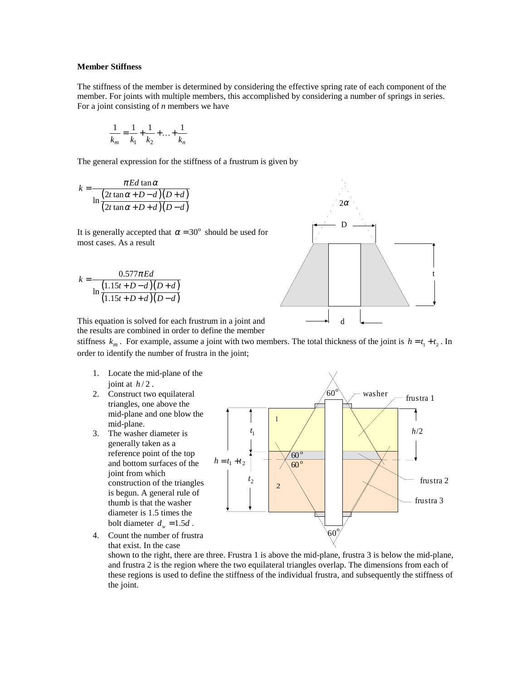## **Member Stiffness**

The stiffness of the member is determined by considering the effective spring rate of each component of the member. For joints with multiple members, this accomplished by considering a number of springs in series. For a joint consisting of *n* members we have

$$
\frac{1}{k_m} = \frac{1}{k_1} + \frac{1}{k_2} + \dots + \frac{1}{k_n}
$$

The general expression for the stiffness of a frustrum is given by

$$
k = \frac{\pi Ed \tan \alpha}{\ln \frac{(2t \tan \alpha + D - d)(D + d)}{(2t \tan \alpha + D + d)(D - d)}}
$$

It is generally accepted that  $\alpha = 30^{\circ}$  should be used for most cases. As a result

$$
k = \frac{0.577 \pi Ed}{\ln \frac{(1.15t + D - d)(D + d)}{(1.15t + D + d)(D - d)}}
$$



This equation is solved for each frustrum in a joint and the results are combined in order to define the member

stiffness  $k_m$ . For example, assume a joint with two members. The total thickness of the joint is  $h = t_1 + t_2$ . In order to identify the number of frustra in the joint;

- 1. Locate the mid-plane of the joint at  $h/2$ .
- 2. Construct two equilateral triangles, one above the mid-plane and one blow the mid-plane.
- 3. The washer diameter is generally taken as a reference point of the top and bottom surfaces of the joint from which construction of the triangles is begun. A general rule of thumb is that the washer diameter is 1.5 times the bolt diameter  $d_w = 1.5d$ .

4. Count the number of frustra that exist. In the case

1 *t*  $t<sub>2</sub>$  $h = t$ *h*/2 washer 1 2 frustra 1 frustra 2 frustra 3 <sup>o</sup> 60 <sup>o</sup> 60 <sup>o</sup> 60 <sup>o</sup> 60

shown to the right, there are three. Frustra 1 is above the mid-plane, frustra 3 is below the mid-plane, and frustra 2 is the region where the two equilateral triangles overlap. The dimensions from each of these regions is used to define the stiffness of the individual frustra, and subsequently the stiffness of the joint.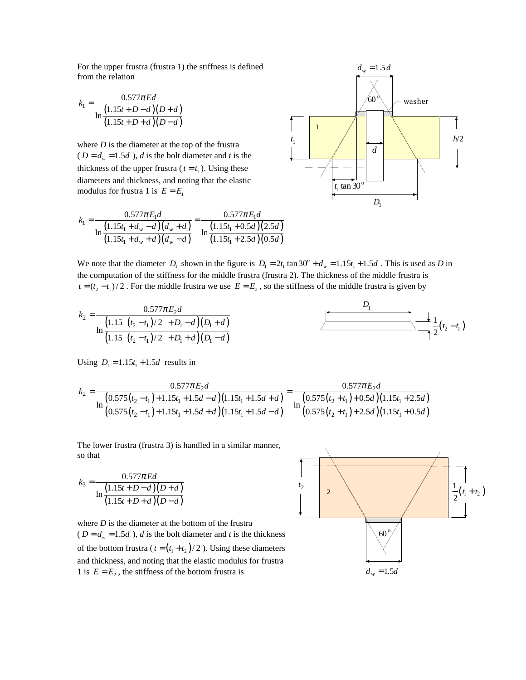For the upper frustra (frustra 1) the stiffness is defined from the relation

$$
k_1 = \frac{0.577 \pi Ed}{\ln \frac{(1.15t + D - d)(D + d)}{(1.15t + D + d)(D - d)}}
$$

where  $D$  is the diameter at the top of the frustra ( $D = d_w = 1.5d$ ), *d* is the bolt diameter and *t* is the thickness of the upper frustra ( $t = t_1$ ). Using these diameters and thickness, and noting that the elastic modulus for frustra 1 is  $E = E_1$ 

$$
k_1 = \frac{0.577\pi E_1 d}{\ln\left(\frac{1.15t_1 + d_w - d}{1.15t_1 + d_w + d}\right)\left(d_w + d\right)} = \frac{0.577\pi E_1 d}{\ln\left(\frac{1.15t_1 + 0.5d}{1.15t_1 + 2.5d}\right)\left(2.5d\right)}
$$



We note that the diameter  $D_1$  shown in the figure is  $D_1 = 2t_1 \tan 30^\circ + d_w = 1.15t_1 + 1.5d$ . This is used as *D* in the computation of the stiffness for the middle frustra (frustra 2). The thickness of the middle frustra is  $t = (t_2 - t_1)/2$ . For the middle frustra we use  $E = E_2$ , so the stiffness of the middle frustra is given by

$$
k_2 = \frac{0.577\pi E_2 d}{\ln\left(\frac{1.15[(t_2 - t_1)/2]+D_1 - d}{(1.15[(t_2 - t_1)/2]+D_1 + d)(D_1 - d)}\right)} \qquad \qquad \underbrace{\qquad \qquad }_{1}
$$

Using  $D_1 = 1.15t_1 + 1.5d$  results in

$$
k_2 = \frac{0.577\pi E_2 d}{\ln\left(\frac{0.575(t_2 - t_1) + 1.15t_1 + 1.5d - d}{(0.575(t_2 - t_1) + 1.15t_1 + 1.5d + d)}\right)} = \frac{0.577\pi E_2 d}{\ln\left(\frac{0.575(t_2 + t_1) + 0.5d}{(0.575(t_2 - t_1) + 2.5d)}\right)}
$$

The lower frustra (frustra 3) is handled in a similar manner, so that

$$
k_3 = \frac{0.577 \pi Ed}{\ln \frac{(1.15t + D - d)(D + d)}{(1.15t + D + d)(D - d)}}
$$

where *D* is the diameter at the bottom of the frustra ( $D = d_w = 1.5d$ ), *d* is the bolt diameter and *t* is the thickness of the bottom frustra ( $t = (t_1 + t_2)/2$ ). Using these diameters and thickness, and noting that the elastic modulus for frustra 1 is  $E = E_2$ , the stiffness of the bottom frustra is

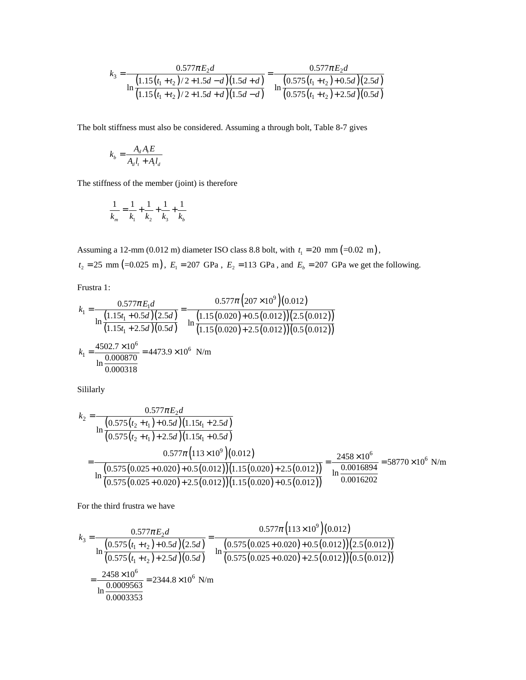$$
k_3 = \frac{0.577\pi E_2 d}{\ln\left(\frac{1.15(t_1+t_2)/2+1.5d-d}{(1.15(t_1+t_2)/2+1.5d+d)}\right)} = \frac{0.577\pi E_2 d}{\ln\left(\frac{0.575(t_1+t_2)+0.5d}{(0.575(t_1+t_2)+2.5d)}\right)(0.5d)}
$$

The bolt stiffness must also be considered. Assuming a through bolt, Table 8-7 gives

$$
k_b = \frac{A_d A_t E}{A_d l_t + A_t l_d}
$$

The stiffness of the member (joint) is therefore

$$
\frac{1}{k_m} = \frac{1}{k_1} + \frac{1}{k_2} + \frac{1}{k_3} + \frac{1}{k_b}
$$

Assuming a 12-mm (0.012 m) diameter ISO class 8.8 bolt, with  $t_1 = 20$  mm  $(=0.02$  m),  $t_2 = 25$  mm  $(=0.025 \text{ m})$ ,  $E_1 = 207 \text{ GPa}$ ,  $E_2 = 113 \text{ GPa}$ , and  $E_b = 207 \text{ GPa}$  we get the following.

Frustra 1:

$$
k_1 = \frac{0.577\pi E_1 d}{\ln\left(\frac{1.15t_1 + 0.5d}{1.15t_1 + 2.5d}\right)\left(2.5d\right)} = \frac{0.577\pi \left(207 \times 10^9\right)\left(0.012\right)}{\ln\left(\frac{1.15(0.020) + 0.5(0.012)}{1.15(0.020) + 2.5(0.012)}\right)\left(2.5(0.012)\right)}
$$
  
\n
$$
k_1 = \frac{4502.7 \times 10^6}{\ln\left(\frac{0.000870}{0.000318}\right)} = 4473.9 \times 10^6 \text{ N/m}
$$

Sililarly

$$
k_2 = \frac{0.577\pi E_2 d}{\ln\left(\frac{0.575(t_2 + t_1) + 0.5d}{(0.575(t_2 + t_1) + 2.5d}\right)(1.15t_1 + 2.5d)}
$$
  
= 
$$
\frac{0.577\pi (113 \times 10^9)(0.012)}{\ln\left(\frac{0.575(0.025 + 0.020) + 0.5(0.012)}{1.5(0.025 + 0.020) + 2.5(0.012)}\right)(1.15(0.020) + 2.5(0.012))} = \frac{2458 \times 10^6}{\ln\left(\frac{0.0016894}{0.0016202}} = 58770 \times 10^6 \text{ N/m}
$$

For the third frustra we have

$$
k_3 = \frac{0.577\pi E_2 d}{\ln\left(\frac{0.575(t_1 + t_2) + 0.5d}{(0.575(t_1 + t_2) + 2.5d)(0.5d)}\right)} = \frac{0.577\pi (113 \times 10^9)(0.012)}{\ln\left(\frac{0.575(0.025 + 0.020) + 0.5(0.012)}{(0.575(0.025 + 0.020) + 2.5(0.012))(0.5(0.012))}\right)}
$$
  
= 
$$
\frac{2458 \times 10^6}{\ln\left(\frac{0.0009563}{0.0003353}\right)} = 2344.8 \times 10^6 \text{ N/m}
$$